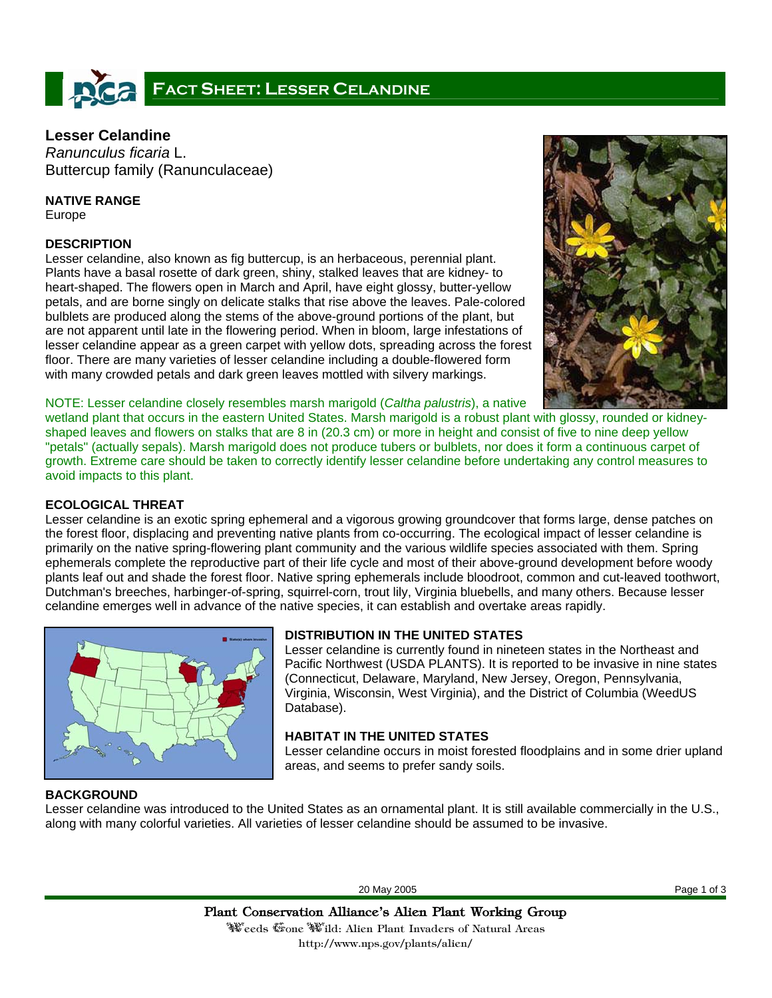# FACT SHEET: LESSER CELANDINE

# **Lesser Celandine**

*Ranunculus ficaria* L. Buttercup family (Ranunculaceae)

# **NATIVE RANGE**

Europe

# **DESCRIPTION**

Lesser celandine, also known as fig buttercup, is an herbaceous, perennial plant. Plants have a basal rosette of dark green, shiny, stalked leaves that are kidney- to heart-shaped. The flowers open in March and April, have eight glossy, butter-yellow petals, and are borne singly on delicate stalks that rise above the leaves. Pale-colored bulblets are produced along the stems of the above-ground portions of the plant, but are not apparent until late in the flowering period. When in bloom, large infestations of lesser celandine appear as a green carpet with yellow dots, spreading across the forest floor. There are many varieties of lesser celandine including a double-flowered form with many crowded petals and dark green leaves mottled with silvery markings.



NOTE: Lesser celandine closely resembles marsh marigold (*Caltha palustris*), a native

wetland plant that occurs in the eastern United States. Marsh marigold is a robust plant with glossy, rounded or kidneyshaped leaves and flowers on stalks that are 8 in (20.3 cm) or more in height and consist of five to nine deep yellow "petals" (actually sepals). Marsh marigold does not produce tubers or bulblets, nor does it form a continuous carpet of growth. Extreme care should be taken to correctly identify lesser celandine before undertaking any control measures to avoid impacts to this plant.

# **ECOLOGICAL THREAT**

Lesser celandine is an exotic spring ephemeral and a vigorous growing groundcover that forms large, dense patches on the forest floor, displacing and preventing native plants from co-occurring. The ecological impact of lesser celandine is primarily on the native spring-flowering plant community and the various wildlife species associated with them. Spring ephemerals complete the reproductive part of their life cycle and most of their above-ground development before woody plants leaf out and shade the forest floor. Native spring ephemerals include bloodroot, common and cut-leaved toothwort, Dutchman's breeches, harbinger-of-spring, squirrel-corn, trout lily, Virginia bluebells, and many others. Because lesser celandine emerges well in advance of the native species, it can establish and overtake areas rapidly.



# **DISTRIBUTION IN THE UNITED STATES**

Lesser celandine is currently found in nineteen states in the Northeast and Pacific Northwest (USDA PLANTS). It is reported to be invasive in nine states (Connecticut, Delaware, Maryland, New Jersey, Oregon, Pennsylvania, Virginia, Wisconsin, West Virginia), and the District of Columbia (WeedUS Database).

# **HABITAT IN THE UNITED STATES**

Lesser celandine occurs in moist forested floodplains and in some drier upland areas, and seems to prefer sandy soils.

# **BACKGROUND**

Lesser celandine was introduced to the United States as an ornamental plant. It is still available commercially in the U.S., along with many colorful varieties. All varieties of lesser celandine should be assumed to be invasive.

20 May 2005 Page 1 of 3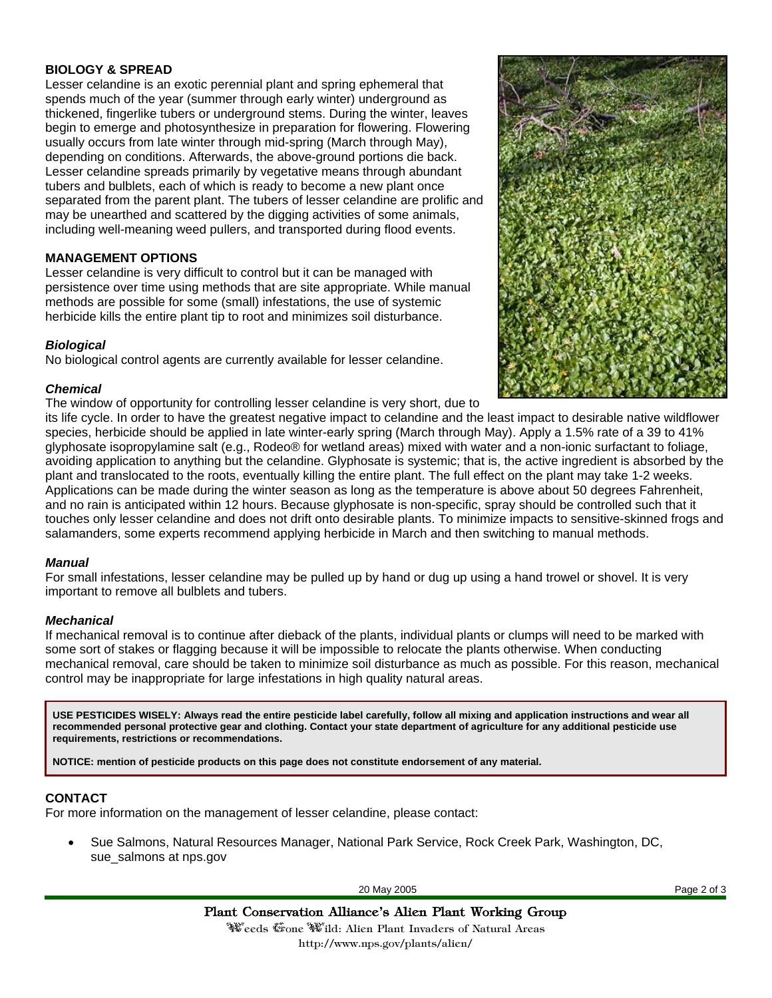# **BIOLOGY & SPREAD**

Lesser celandine is an exotic perennial plant and spring ephemeral that spends much of the year (summer through early winter) underground as thickened, fingerlike tubers or underground stems. During the winter, leaves begin to emerge and photosynthesize in preparation for flowering. Flowering usually occurs from late winter through mid-spring (March through May), depending on conditions. Afterwards, the above-ground portions die back. Lesser celandine spreads primarily by vegetative means through abundant tubers and bulblets, each of which is ready to become a new plant once separated from the parent plant. The tubers of lesser celandine are prolific and may be unearthed and scattered by the digging activities of some animals, including well-meaning weed pullers, and transported during flood events.

## **MANAGEMENT OPTIONS**

Lesser celandine is very difficult to control but it can be managed with persistence over time using methods that are site appropriate. While manual methods are possible for some (small) infestations, the use of systemic herbicide kills the entire plant tip to root and minimizes soil disturbance.

#### *Biological*

No biological control agents are currently available for lesser celandine.

#### *Chemical*

The window of opportunity for controlling lesser celandine is very short, due to



its life cycle. In order to have the greatest negative impact to celandine and the least impact to desirable native wildflower species, herbicide should be applied in late winter-early spring (March through May). Apply a 1.5% rate of a 39 to 41% glyphosate isopropylamine salt (e.g., Rodeo® for wetland areas) mixed with water and a non-ionic surfactant to foliage, avoiding application to anything but the celandine. Glyphosate is systemic; that is, the active ingredient is absorbed by the plant and translocated to the roots, eventually killing the entire plant. The full effect on the plant may take 1-2 weeks. Applications can be made during the winter season as long as the temperature is above about 50 degrees Fahrenheit, and no rain is anticipated within 12 hours. Because glyphosate is non-specific, spray should be controlled such that it touches only lesser celandine and does not drift onto desirable plants. To minimize impacts to sensitive-skinned frogs and salamanders, some experts recommend applying herbicide in March and then switching to manual methods.

#### *Manual*

For small infestations, lesser celandine may be pulled up by hand or dug up using a hand trowel or shovel. It is very important to remove all bulblets and tubers.

#### *Mechanical*

If mechanical removal is to continue after dieback of the plants, individual plants or clumps will need to be marked with some sort of stakes or flagging because it will be impossible to relocate the plants otherwise. When conducting mechanical removal, care should be taken to minimize soil disturbance as much as possible. For this reason, mechanical control may be inappropriate for large infestations in high quality natural areas.

**USE PESTICIDES WISELY: Always read the entire pesticide label carefully, follow all mixing and application instructions and wear all recommended personal protective gear and clothing. Contact your state department of agriculture for any additional pesticide use requirements, restrictions or recommendations.** 

**NOTICE: mention of pesticide products on this page does not constitute endorsement of any material.**

#### **CONTACT**

For more information on the management of lesser celandine, please contact:

• Sue Salmons, Natural Resources Manager, National Park Service, Rock Creek Park, Washington, DC, sue\_salmons at nps.gov

20 May 2005 Page 2 of 3